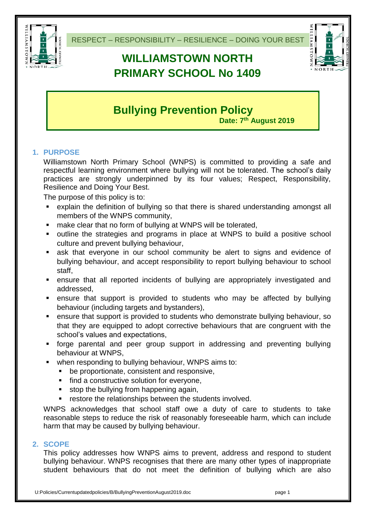

# **WILLIAMSTOWN NORTH PRIMARY SCHOOL No 1409**



# **Bullying Prevention Policy**

**Date: 7 th August 2019**

# **1. PURPOSE**

Williamstown North Primary School (WNPS) is committed to providing a safe and respectful learning environment where bullying will not be tolerated. The school's daily practices are strongly underpinned by its four values; Respect, Responsibility, Resilience and Doing Your Best.

The purpose of this policy is to:

- explain the definition of bullying so that there is shared understanding amongst all members of the WNPS community,
- make clear that no form of bullying at WNPS will be tolerated,
- outline the strategies and programs in place at WNPS to build a positive school culture and prevent bullying behaviour,
- ask that everyone in our school community be alert to signs and evidence of bullying behaviour, and accept responsibility to report bullying behaviour to school staff,
- ensure that all reported incidents of bullying are appropriately investigated and addressed,
- ensure that support is provided to students who may be affected by bullying behaviour (including targets and bystanders),
- ensure that support is provided to students who demonstrate bullying behaviour, so that they are equipped to adopt corrective behaviours that are congruent with the school's values and expectations,
- forge parental and peer group support in addressing and preventing bullying behaviour at WNPS,
- when responding to bullying behaviour, WNPS aims to:
	- be proportionate, consistent and responsive,
	- **find a constructive solution for everyone,**
	- stop the bullying from happening again,
	- **F** restore the relationships between the students involved.

WNPS acknowledges that school staff owe a duty of care to students to take reasonable steps to reduce the risk of reasonably foreseeable harm, which can include harm that may be caused by bullying behaviour.

#### **2. SCOPE**

This policy addresses how WNPS aims to prevent, address and respond to student bullying behaviour. WNPS recognises that there are many other types of inappropriate student behaviours that do not meet the definition of bullying which are also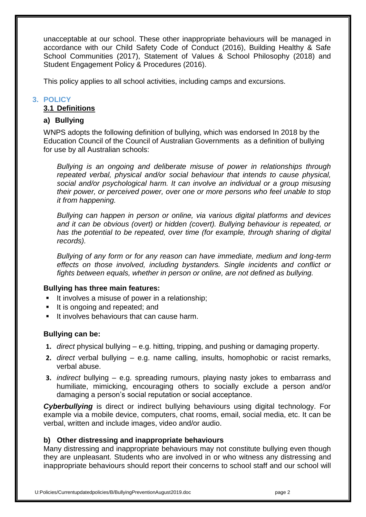unacceptable at our school. These other inappropriate behaviours will be managed in accordance with our Child Safety Code of Conduct (2016), Building Healthy & Safe School Communities (2017), Statement of Values & School Philosophy (2018) and Student Engagement Policy & Procedures (2016).

This policy applies to all school activities, including camps and excursions.

# **3. POLICY**

# **3.1 Definitions**

# **a) Bullying**

WNPS adopts the following definition of bullying, which was endorsed In 2018 by the Education Council of the Council of Australian Governments as a definition of bullying for use by all Australian schools:

*Bullying is an ongoing and deliberate misuse of power in relationships through repeated verbal, physical and/or social behaviour that intends to cause physical, social and/or psychological harm. It can involve an individual or a group misusing their power, or perceived power, over one or more persons who feel unable to stop it from happening.*

*Bullying can happen in person or online, via various digital platforms and devices and it can be obvious (overt) or hidden (covert). Bullying behaviour is repeated, or has the potential to be repeated, over time (for example, through sharing of digital records).*

*Bullying of any form or for any reason can have immediate, medium and long-term effects on those involved, including bystanders. Single incidents and conflict or fights between equals, whether in person or online, are not defined as bullying.*

#### **Bullying has three main features:**

- It involves a misuse of power in a relationship;
- It is ongoing and repeated; and
- It involves behaviours that can cause harm.

#### **Bullying can be:**

- **1.** *direct* physical bullying e.g. hitting, tripping, and pushing or damaging property.
- **2.** *direct* verbal bullying e.g. name calling, insults, homophobic or racist remarks, verbal abuse.
- **3.** *indirect* bullying e.g. spreading rumours, playing nasty jokes to embarrass and humiliate, mimicking, encouraging others to socially exclude a person and/or damaging a person's social reputation or social acceptance.

*Cyberbullying* is direct or indirect bullying behaviours using digital technology. For example via a mobile device, computers, chat rooms, email, social media, etc. It can be verbal, written and include images, video and/or audio.

#### **b) Other distressing and inappropriate behaviours**

Many distressing and inappropriate behaviours may not constitute bullying even though they are unpleasant. Students who are involved in or who witness any distressing and inappropriate behaviours should report their concerns to school staff and our school will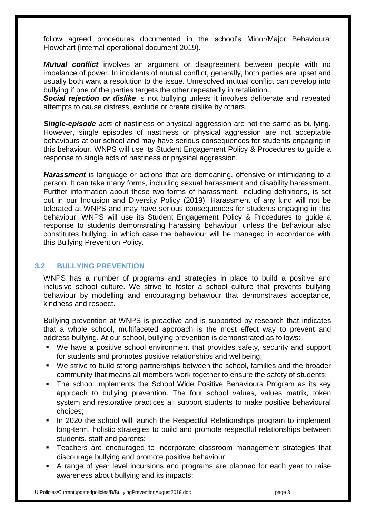follow agreed procedures documented in the school's Minor/Major Behavioural Flowchart (Internal operational document 2019).

*Mutual conflict* involves an argument or disagreement between people with no imbalance of power. In incidents of mutual conflict, generally, both parties are upset and usually both want a resolution to the issue. Unresolved mutual conflict can develop into bullying if one of the parties targets the other repeatedly in retaliation.

**Social rejection or dislike** is not bullying unless it involves deliberate and repeated attempts to cause distress, exclude or create dislike by others.

*Single-episode acts* of nastiness or physical aggression are not the same as bullying. However, single episodes of nastiness or physical aggression are not acceptable behaviours at our school and may have serious consequences for students engaging in this behaviour. WNPS will use its Student Engagement Policy & Procedures to guide a response to single acts of nastiness or physical aggression.

*Harassment* is language or actions that are demeaning, offensive or intimidating to a person. It can take many forms, including sexual harassment and disability harassment. Further information about these two forms of harassment, including definitions, is set out in our Inclusion and Diversity Policy (2019). Harassment of any kind will not be tolerated at WNPS and may have serious consequences for students engaging in this behaviour. WNPS will use its Student Engagement Policy & Procedures to guide a response to students demonstrating harassing behaviour, unless the behaviour also constitutes bullying, in which case the behaviour will be managed in accordance with this Bullying Prevention Policy.

# **3.2 BULLYING PREVENTION**

WNPS has a number of programs and strategies in place to build a positive and inclusive school culture. We strive to foster a school culture that prevents bullying behaviour by modelling and encouraging behaviour that demonstrates acceptance, kindness and respect.

Bullying prevention at WNPS is proactive and is supported by research that indicates that a whole school, multifaceted approach is the most effect way to prevent and address bullying. At our school, bullying prevention is demonstrated as follows:

- We have a positive school environment that provides safety, security and support for students and promotes positive relationships and wellbeing;
- We strive to build strong partnerships between the school, families and the broader community that means all members work together to ensure the safety of students;
- The school implements the School Wide Positive Behaviours Program as its key approach to bullying prevention. The four school values, values matrix, token system and restorative practices all support students to make positive behavioural choices;
- In 2020 the school will launch the Respectful Relationships program to implement long-term, holistic strategies to build and promote respectful relationships between students, staff and parents;
- Teachers are encouraged to incorporate classroom management strategies that discourage bullying and promote positive behaviour;
- A range of year level incursions and programs are planned for each year to raise awareness about bullying and its impacts;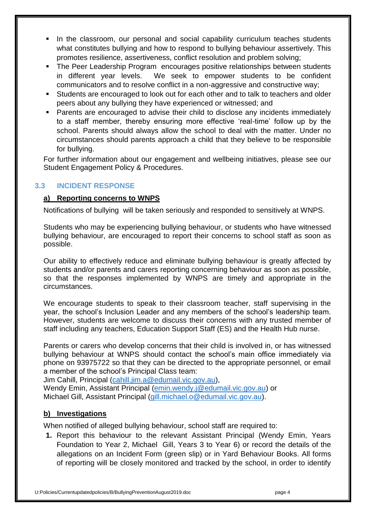- In the classroom, our personal and social capability curriculum teaches students what constitutes bullying and how to respond to bullying behaviour assertively. This promotes resilience, assertiveness, conflict resolution and problem solving;
- The Peer Leadership Program encourages positive relationships between students in different year levels. We seek to empower students to be confident communicators and to resolve conflict in a non-aggressive and constructive way;
- Students are encouraged to look out for each other and to talk to teachers and older peers about any bullying they have experienced or witnessed; and
- Parents are encouraged to advise their child to disclose any incidents immediately to a staff member, thereby ensuring more effective 'real-time' follow up by the school. Parents should always allow the school to deal with the matter. Under no circumstances should parents approach a child that they believe to be responsible for bullying.

For further information about our engagement and wellbeing initiatives, please see our Student Engagement Policy & Procedures.

# **3.3 INCIDENT RESPONSE**

#### **a) Reporting concerns to WNPS**

Notifications of bullying will be taken seriously and responded to sensitively at WNPS.

Students who may be experiencing bullying behaviour, or students who have witnessed bullying behaviour, are encouraged to report their concerns to school staff as soon as possible.

Our ability to effectively reduce and eliminate bullying behaviour is greatly affected by students and/or parents and carers reporting concerning behaviour as soon as possible, so that the responses implemented by WNPS are timely and appropriate in the circumstances.

We encourage students to speak to their classroom teacher, staff supervising in the year, the school's Inclusion Leader and any members of the school's leadership team. However, students are welcome to discuss their concerns with any trusted member of staff including any teachers, Education Support Staff (ES) and the Health Hub nurse.

Parents or carers who develop concerns that their child is involved in, or has witnessed bullying behaviour at WNPS should contact the school's main office immediately via phone on 93975722 so that they can be directed to the appropriate personnel, or email a member of the school's Principal Class team:

Jim Cahill, Principal [\(cahill.jim.a@edumail.vic.gov.au\)](mailto:cahill.jim.a@edumail.vic.gov.au),

Wendy Emin, Assistant Principal [\(emin.wendy.j@edumail.vic.gov.au\)](mailto:emin.wendy.j@edumail.vic.gov.au) or Michael Gill, Assistant Principal [\(gill.michael.o@edumail.vic.gov.au\)](mailto:gill.michael.o@edumail.vic.gov.au).

#### **b) Investigations**

When notified of alleged bullying behaviour, school staff are required to:

**1.** Report this behaviour to the relevant Assistant Principal (Wendy Emin, Years Foundation to Year 2, Michael Gill, Years 3 to Year 6) or record the details of the allegations on an Incident Form (green slip) or in Yard Behaviour Books. All forms of reporting will be closely monitored and tracked by the school, in order to identify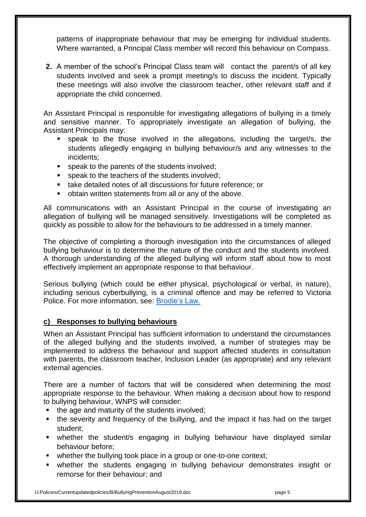patterns of inappropriate behaviour that may be emerging for individual students. Where warranted, a Principal Class member will record this behaviour on Compass.

**2.** A member of the school's Principal Class team will contact the parent/s of all key students involved and seek a prompt meeting/s to discuss the incident. Typically these meetings will also involve the classroom teacher, other relevant staff and if appropriate the child concerned.

An Assistant Principal is responsible for investigating allegations of bullying in a timely and sensitive manner. To appropriately investigate an allegation of bullying, the Assistant Principals may:

- speak to the those involved in the allegations, including the target/s, the students allegedly engaging in bullying behaviour/s and any witnesses to the incidents;
- **speak to the parents of the students involved;**
- **speak to the teachers of the students involved;**
- take detailed notes of all discussions for future reference; or
- obtain written statements from all or any of the above.

All communications with an Assistant Principal in the course of investigating an allegation of bullying will be managed sensitively. Investigations will be completed as quickly as possible to allow for the behaviours to be addressed in a timely manner.

The objective of completing a thorough investigation into the circumstances of alleged bullying behaviour is to determine the nature of the conduct and the students involved. A thorough understanding of the alleged bullying will inform staff about how to most effectively implement an appropriate response to that behaviour.

Serious bullying (which could be either physical, psychological or verbal, in nature), including serious cyberbullying, is a criminal offence and may be referred to Victoria Police. For more information, see: [Brodie's Law.](http://www.education.vic.gov.au/about/programs/bullystoppers/Pages/advicesheetbrodieslaw.aspx)

#### **c) Responses to bullying behaviours**

When an Assistant Principal has sufficient information to understand the circumstances of the alleged bullying and the students involved, a number of strategies may be implemented to address the behaviour and support affected students in consultation with parents, the classroom teacher, Inclusion Leader (as appropriate) and any relevant external agencies.

There are a number of factors that will be considered when determining the most appropriate response to the behaviour. When making a decision about how to respond to bullying behaviour, WNPS will consider:

- $\blacksquare$  the age and maturity of the students involved;
- the severity and frequency of the bullying, and the impact it has had on the target student;
- whether the student/s engaging in bullying behaviour have displayed similar behaviour before;
- whether the bullying took place in a group or one-to-one context;
- whether the students engaging in bullying behaviour demonstrates insight or remorse for their behaviour; and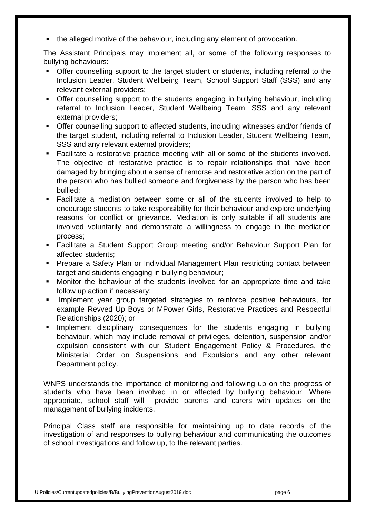the alleged motive of the behaviour, including any element of provocation.

The Assistant Principals may implement all, or some of the following responses to bullying behaviours:

- Offer counselling support to the target student or students, including referral to the Inclusion Leader, Student Wellbeing Team, School Support Staff (SSS) and any relevant external providers;
- Offer counselling support to the students engaging in bullying behaviour, including referral to Inclusion Leader, Student Wellbeing Team, SSS and any relevant external providers;
- Offer counselling support to affected students, including witnesses and/or friends of the target student, including referral to Inclusion Leader, Student Wellbeing Team, SSS and any relevant external providers;
- Facilitate a restorative practice meeting with all or some of the students involved. The objective of restorative practice is to repair relationships that have been damaged by bringing about a sense of remorse and restorative action on the part of the person who has bullied someone and forgiveness by the person who has been bullied;
- Facilitate a mediation between some or all of the students involved to help to encourage students to take responsibility for their behaviour and explore underlying reasons for conflict or grievance. Mediation is only suitable if all students are involved voluntarily and demonstrate a willingness to engage in the mediation process;
- Facilitate a Student Support Group meeting and/or Behaviour Support Plan for affected students;
- Prepare a Safety Plan or Individual Management Plan restricting contact between target and students engaging in bullying behaviour;
- Monitor the behaviour of the students involved for an appropriate time and take follow up action if necessary;
- Implement year group targeted strategies to reinforce positive behaviours, for example Revved Up Boys or MPower Girls, Restorative Practices and Respectful Relationships (2020); or
- **Implement disciplinary consequences for the students engaging in bullying** behaviour, which may include removal of privileges, detention, suspension and/or expulsion consistent with our Student Engagement Policy & Procedures, the Ministerial Order on Suspensions and Expulsions and any other relevant Department policy.

WNPS understands the importance of monitoring and following up on the progress of students who have been involved in or affected by bullying behaviour. Where appropriate, school staff will provide parents and carers with updates on the management of bullying incidents.

Principal Class staff are responsible for maintaining up to date records of the investigation of and responses to bullying behaviour and communicating the outcomes of school investigations and follow up, to the relevant parties.